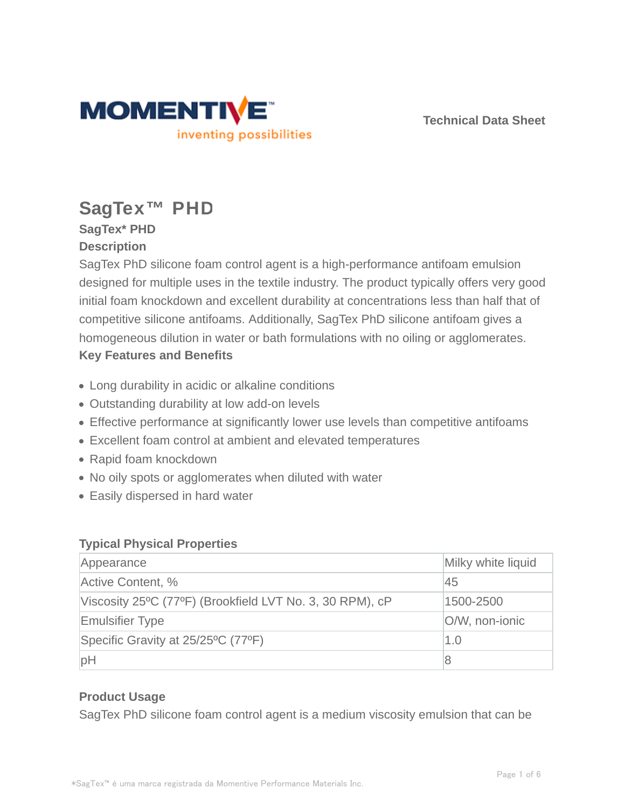

**Technical Data Sheet**

# **SagTex™ PHD**

## **SagTex\* PHD Description**

SagTex PhD silicone foam control agent is a high-performance antifoam emulsion designed for multiple uses in the textile industry. The product typically offers very good initial foam knockdown and excellent durability at concentrations less than half that of competitive silicone antifoams. Additionally, SagTex PhD silicone antifoam gives a homogeneous dilution in water or bath formulations with no oiling or agglomerates. **Key Features and Benefits**

- Long durability in acidic or alkaline conditions
- Outstanding durability at low add-on levels
- Effective performance at significantly lower use levels than competitive antifoams
- Excellent foam control at ambient and elevated temperatures
- Rapid foam knockdown
- No oily spots or agglomerates when diluted with water
- Easily dispersed in hard water

#### **Typical Physical Properties**

| Appearance                                               | Milky white liquid |
|----------------------------------------------------------|--------------------|
| Active Content, %                                        | 45                 |
| Viscosity 25°C (77°F) (Brookfield LVT No. 3, 30 RPM), cP | 1500-2500          |
| <b>Emulsifier Type</b>                                   | O/W, non-ionic     |
| Specific Gravity at 25/25°C (77°F)                       | 1.0                |
| pH                                                       | 8                  |

## **Product Usage**

SagTex PhD silicone foam control agent is a medium viscosity emulsion that can be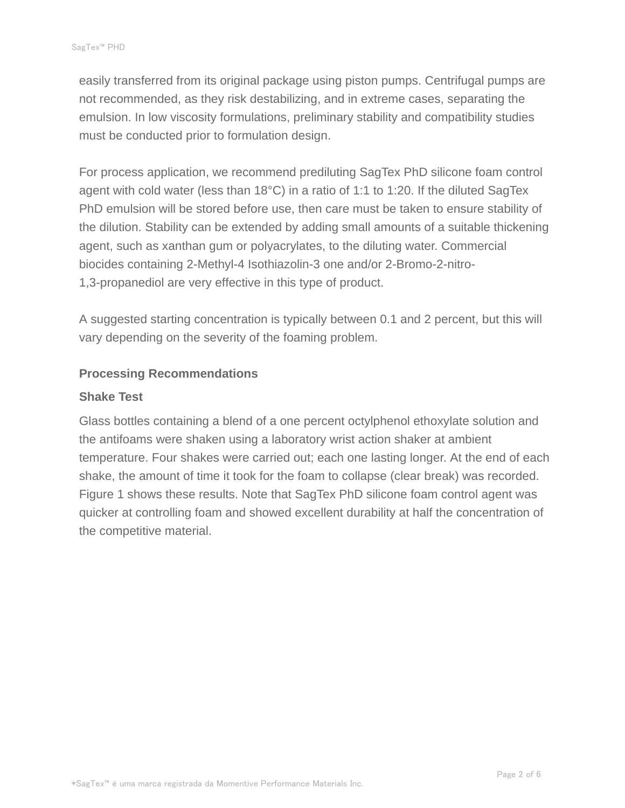easily transferred from its original package using piston pumps. Centrifugal pumps are not recommended, as they risk destabilizing, and in extreme cases, separating the emulsion. In low viscosity formulations, preliminary stability and compatibility studies must be conducted prior to formulation design.

For process application, we recommend prediluting SagTex PhD silicone foam control agent with cold water (less than 18°C) in a ratio of 1:1 to 1:20. If the diluted SagTex PhD emulsion will be stored before use, then care must be taken to ensure stability of the dilution. Stability can be extended by adding small amounts of a suitable thickening agent, such as xanthan gum or polyacrylates, to the diluting water. Commercial biocides containing 2-Methyl-4 Isothiazolin-3 one and/or 2-Bromo-2-nitro-1,3-propanediol are very effective in this type of product.

A suggested starting concentration is typically between 0.1 and 2 percent, but this will vary depending on the severity of the foaming problem.

#### **Processing Recommendations**

#### **Shake Test**

Glass bottles containing a blend of a one percent octylphenol ethoxylate solution and the antifoams were shaken using a laboratory wrist action shaker at ambient temperature. Four shakes were carried out; each one lasting longer. At the end of each shake, the amount of time it took for the foam to collapse (clear break) was recorded. Figure 1 shows these results. Note that SagTex PhD silicone foam control agent was quicker at controlling foam and showed excellent durability at half the concentration of the competitive material.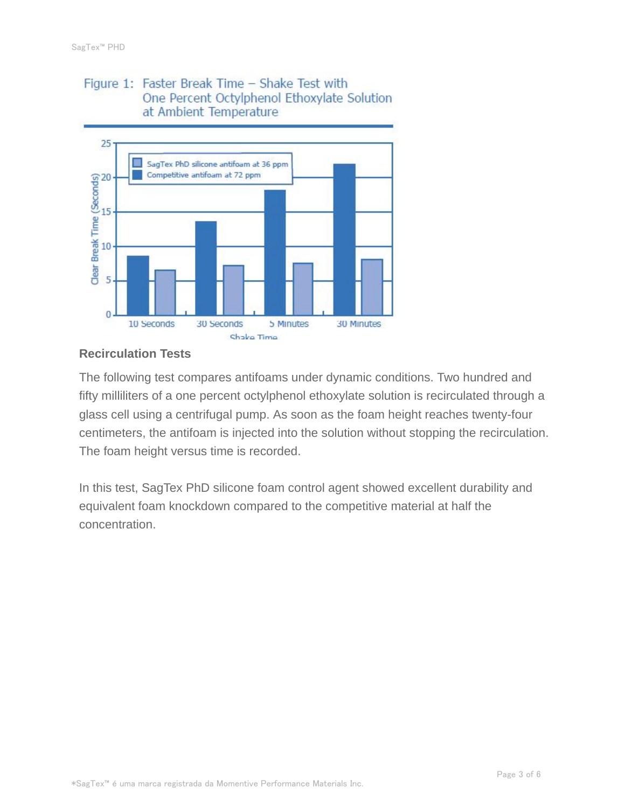#### Figure 1: Faster Break Time - Shake Test with One Percent Octylphenol Ethoxylate Solution at Ambient Temperature



#### **Recirculation Tests**

The following test compares antifoams under dynamic conditions. Two hundred and fifty milliliters of a one percent octylphenol ethoxylate solution is recirculated through a glass cell using a centrifugal pump. As soon as the foam height reaches twenty-four centimeters, the antifoam is injected into the solution without stopping the recirculation. The foam height versus time is recorded.

In this test, SagTex PhD silicone foam control agent showed excellent durability and equivalent foam knockdown compared to the competitive material at half the concentration.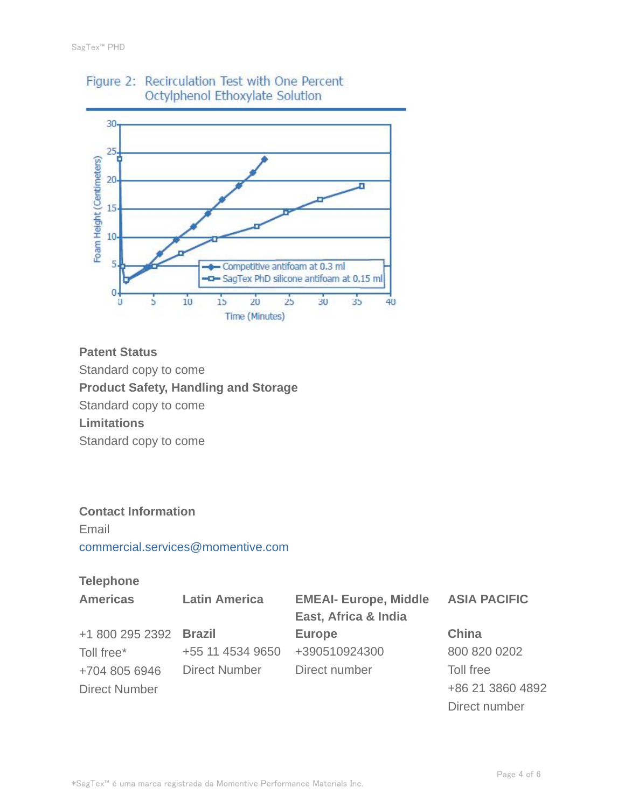

# Figure 2: Recirculation Test with One Percent Octylphenol Ethoxylate Solution

## **Patent Status**

Standard copy to come

**Product Safety, Handling and Storage**

Standard copy to come

**Limitations**

Standard copy to come

## **Contact Information**

Email commercial.services@momentive.com

### **Telephone**

| <b>Americas</b>        | <b>Latin America</b> | <b>EMEAI- Europe, Middle</b> | <b>ASIA PACIFIC</b> |
|------------------------|----------------------|------------------------------|---------------------|
|                        |                      | East, Africa & India         |                     |
| +1 800 295 2392 Brazil |                      | <b>Europe</b>                | <b>China</b>        |
| Toll free*             | +55 11 4534 9650     | +390510924300                | 800 820 0202        |
| +704 805 6946          | <b>Direct Number</b> | Direct number                | Toll free           |
| <b>Direct Number</b>   |                      |                              | +86 21 3860 4892    |
|                        |                      |                              | Direct number       |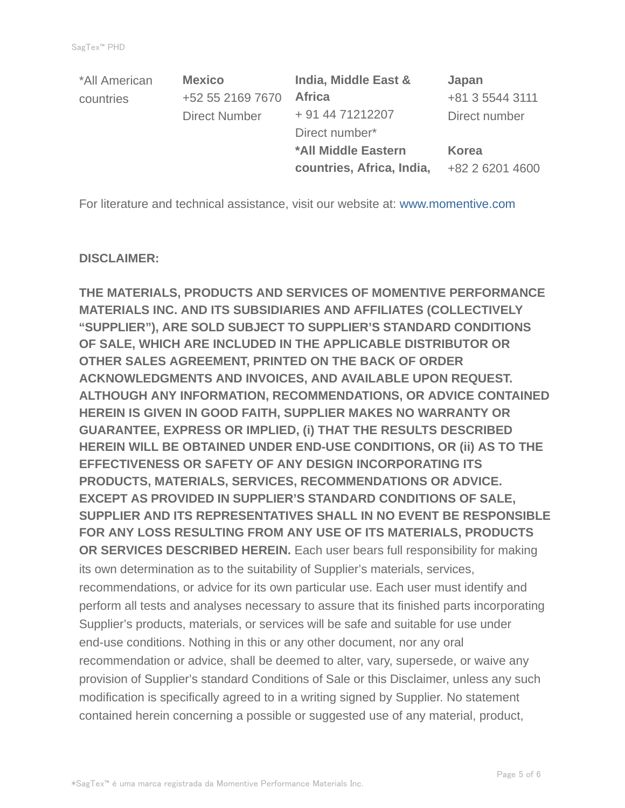| *All American | <b>Mexico</b>        | India, Middle East &       | Japan           |
|---------------|----------------------|----------------------------|-----------------|
| countries     | +52 55 2169 7670     | <b>Africa</b>              | +81 3 5544 3111 |
|               | <b>Direct Number</b> | + 91 44 71212207           | Direct number   |
|               |                      | Direct number*             |                 |
|               |                      | <b>*All Middle Eastern</b> | Korea           |
|               |                      | countries, Africa, India,  | +82 2 6201 4600 |

For literature and technical assistance, visit our website at: www.momentive.com

#### **DISCLAIMER:**

**THE MATERIALS, PRODUCTS AND SERVICES OF MOMENTIVE PERFORMANCE MATERIALS INC. AND ITS SUBSIDIARIES AND AFFILIATES (COLLECTIVELY "SUPPLIER"), ARE SOLD SUBJECT TO SUPPLIER'S STANDARD CONDITIONS OF SALE, WHICH ARE INCLUDED IN THE APPLICABLE DISTRIBUTOR OR OTHER SALES AGREEMENT, PRINTED ON THE BACK OF ORDER ACKNOWLEDGMENTS AND INVOICES, AND AVAILABLE UPON REQUEST. ALTHOUGH ANY INFORMATION, RECOMMENDATIONS, OR ADVICE CONTAINED HEREIN IS GIVEN IN GOOD FAITH, SUPPLIER MAKES NO WARRANTY OR GUARANTEE, EXPRESS OR IMPLIED, (i) THAT THE RESULTS DESCRIBED HEREIN WILL BE OBTAINED UNDER END-USE CONDITIONS, OR (ii) AS TO THE EFFECTIVENESS OR SAFETY OF ANY DESIGN INCORPORATING ITS PRODUCTS, MATERIALS, SERVICES, RECOMMENDATIONS OR ADVICE. EXCEPT AS PROVIDED IN SUPPLIER'S STANDARD CONDITIONS OF SALE, SUPPLIER AND ITS REPRESENTATIVES SHALL IN NO EVENT BE RESPONSIBLE FOR ANY LOSS RESULTING FROM ANY USE OF ITS MATERIALS, PRODUCTS OR SERVICES DESCRIBED HEREIN.** Each user bears full responsibility for making its own determination as to the suitability of Supplier's materials, services, recommendations, or advice for its own particular use. Each user must identify and perform all tests and analyses necessary to assure that its finished parts incorporating Supplier's products, materials, or services will be safe and suitable for use under end-use conditions. Nothing in this or any other document, nor any oral recommendation or advice, shall be deemed to alter, vary, supersede, or waive any provision of Supplier's standard Conditions of Sale or this Disclaimer, unless any such modification is specifically agreed to in a writing signed by Supplier. No statement contained herein concerning a possible or suggested use of any material, product,